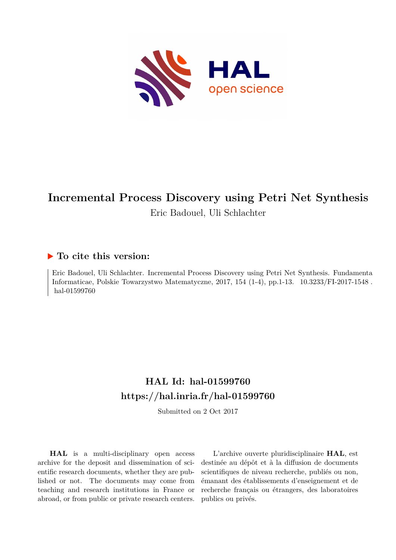

# **Incremental Process Discovery using Petri Net Synthesis** Eric Badouel, Uli Schlachter

# **To cite this version:**

Eric Badouel, Uli Schlachter. Incremental Process Discovery using Petri Net Synthesis. Fundamenta Informaticae, Polskie Towarzystwo Matematyczne, 2017, 154 (1-4), pp.1-13. 10.3233/FI-2017-1548. hal-01599760

# **HAL Id: hal-01599760 <https://hal.inria.fr/hal-01599760>**

Submitted on 2 Oct 2017

**HAL** is a multi-disciplinary open access archive for the deposit and dissemination of scientific research documents, whether they are published or not. The documents may come from teaching and research institutions in France or abroad, or from public or private research centers.

L'archive ouverte pluridisciplinaire **HAL**, est destinée au dépôt et à la diffusion de documents scientifiques de niveau recherche, publiés ou non, émanant des établissements d'enseignement et de recherche français ou étrangers, des laboratoires publics ou privés.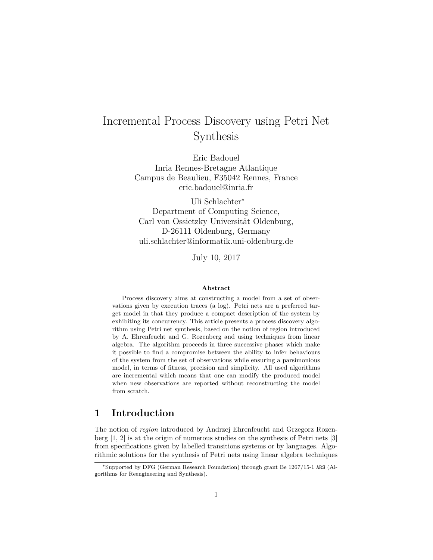# Incremental Process Discovery using Petri Net Synthesis

Eric Badouel Inria Rennes-Bretagne Atlantique Campus de Beaulieu, F35042 Rennes, France eric.badouel@inria.fr

Uli Schlachter<sup>∗</sup> Department of Computing Science, Carl von Ossietzky Universität Oldenburg, D-26111 Oldenburg, Germany uli.schlachter@informatik.uni-oldenburg.de

July 10, 2017

#### **Abstract**

Process discovery aims at constructing a model from a set of observations given by execution traces (a log). Petri nets are a preferred target model in that they produce a compact description of the system by exhibiting its concurrency. This article presents a process discovery algorithm using Petri net synthesis, based on the notion of region introduced by A. Ehrenfeucht and G. Rozenberg and using techniques from linear algebra. The algorithm proceeds in three successive phases which make it possible to find a compromise between the ability to infer behaviours of the system from the set of observations while ensuring a parsimonious model, in terms of fitness, precision and simplicity. All used algorithms are incremental which means that one can modify the produced model when new observations are reported without reconstructing the model from scratch.

## **1 Introduction**

The notion of *region* introduced by Andrzej Ehrenfeucht and Grzegorz Rozenberg  $\left[1, 2\right]$  is at the origin of numerous studies on the synthesis of Petri nets  $\left[3\right]$ from specifications given by labelled transitions systems or by languages. Algorithmic solutions for the synthesis of Petri nets using linear algebra techniques

<sup>∗</sup>Supported by DFG (German Research Foundation) through grant Be 1267/15-1 ARS (Algorithms for Reengineering and Synthesis).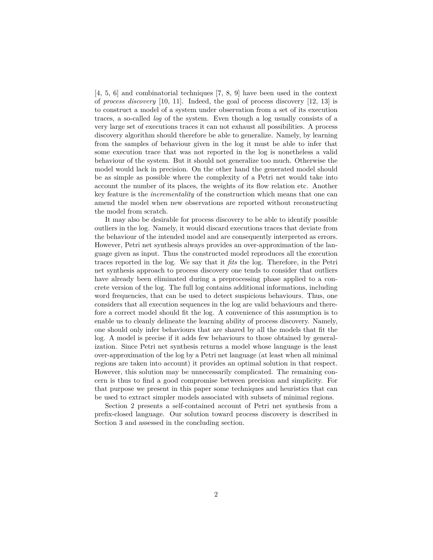[4, 5, 6] and combinatorial techniques [7, 8, 9] have been used in the context of *process discovery* [10, 11]. Indeed, the goal of process discovery [12, 13] is to construct a model of a system under observation from a set of its execution traces, a so-called *log* of the system. Even though a log usually consists of a very large set of executions traces it can not exhaust all possibilities. A process discovery algorithm should therefore be able to generalize. Namely, by learning from the samples of behaviour given in the log it must be able to infer that some execution trace that was not reported in the log is nonetheless a valid behaviour of the system. But it should not generalize too much. Otherwise the model would lack in precision. On the other hand the generated model should be as simple as possible where the complexity of a Petri net would take into account the number of its places, the weights of its flow relation etc. Another key feature is the *incrementality* of the construction which means that one can amend the model when new observations are reported without reconstructing the model from scratch.

It may also be desirable for process discovery to be able to identify possible outliers in the log. Namely, it would discard executions traces that deviate from the behaviour of the intended model and are consequently interpreted as errors. However, Petri net synthesis always provides an over-approximation of the language given as input. Thus the constructed model reproduces all the execution traces reported in the log. We say that it *fits* the log. Therefore, in the Petri net synthesis approach to process discovery one tends to consider that outliers have already been eliminated during a preprocessing phase applied to a concrete version of the log. The full log contains additional informations, including word frequencies, that can be used to detect suspicious behaviours. Thus, one considers that all execution sequences in the log are valid behaviours and therefore a correct model should fit the log. A convenience of this assumption is to enable us to cleanly delineate the learning ability of process discovery. Namely, one should only infer behaviours that are shared by all the models that fit the log. A model is precise if it adds few behaviours to those obtained by generalization. Since Petri net synthesis returns a model whose language is the least over-approximation of the log by a Petri net language (at least when all minimal regions are taken into account) it provides an optimal solution in that respect. However, this solution may be unnecessarily complicated. The remaining concern is thus to find a good compromise between precision and simplicity. For that purpose we present in this paper some techniques and heuristics that can be used to extract simpler models associated with subsets of minimal regions.

Section 2 presents a self-contained account of Petri net synthesis from a prefix-closed language. Our solution toward process discovery is described in Section 3 and assessed in the concluding section.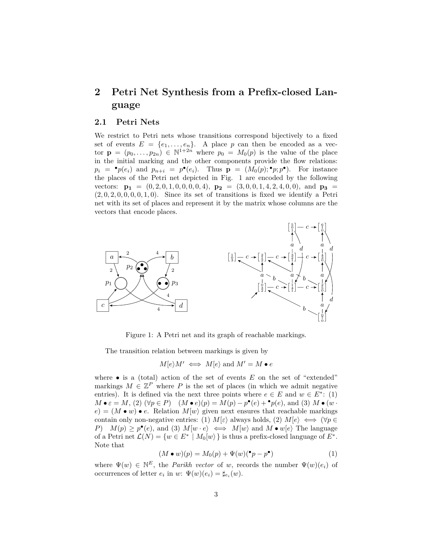## **2 Petri Net Synthesis from a Prefix-closed Language**

#### **2.1 Petri Nets**

We restrict to Petri nets whose transitions correspond bijectively to a fixed set of events  $E = \{e_1, \ldots, e_n\}$ . A place p can then be encoded as a vector  $\mathbf{p} = (p_0, \ldots, p_{2n}) \in \mathbb{N}^{1+2n}$  where  $p_0 = M_0(p)$  is the value of the place in the initial marking and the other components provide the flow relations:  $p_i = \bullet p(e_i)$  and  $p_{n+i} = p^{\bullet}(e_i)$ . Thus  $\mathbf{p} = (M_0(p); \bullet p; p^{\bullet})$ . For instance the places of the Petri net depicted in Fig. 1 are encoded by the following vectors:  $\mathbf{p_1} = (0, 2, 0, 1, 0, 0, 0, 0, 4), \mathbf{p_2} = (3, 0, 0, 1, 4, 2, 4, 0, 0), \text{ and } \mathbf{p_3} =$  $(2,0,2,0,0,0,0,1,0)$ . Since its set of transitions is fixed we identify a Petri net with its set of places and represent it by the matrix whose columns are the vectors that encode places.



Figure 1: A Petri net and its graph of reachable markings.

The transition relation between markings is given by

$$
M|e\rangle M' \iff M|e\rangle
$$
 and  $M' = M \bullet e$ 

where  $\bullet$  is a (total) action of the set of events  $E$  on the set of "extended" markings  $M \in \mathbb{Z}^P$  where P is the set of places (in which we admit negative entries). It is defined via the next three points where  $e \in E$  and  $w \in E^*$ : (1)  $M \bullet \varepsilon = M$ , (2)  $(\forall p \in P)$   $(M \bullet e)(p) = M(p) - p^{\bullet}(e) + \bullet p(e)$ , and (3)  $M \bullet (w \cdot e)$  $(e) = (M \bullet w) \bullet e$ . Relation  $M(w)$  given next ensures that reachable markings contain only non-negative entries: (1)  $M\ket{\varepsilon}$  always holds, (2)  $M\ket{e} \iff (\forall p \in$ *P*)  $M(p) \geq p^{\bullet}(e)$ , and (3)  $M[w \cdot e] \iff M[w]$  and  $M \bullet w[e]$  The language of a Petri net  $\mathcal{L}(N) = \{w \in E^* \mid M_0[w]\}$  is thus a prefix-closed language of  $E^*$ . Note that

$$
(M \bullet w)(p) = M_0(p) + \Psi(w)(\bullet p - p^{\bullet})
$$
\n(1)

where  $\Psi(w) \in \mathbb{N}^E$ , the *Parikh vector* of *w*, records the number  $\Psi(w)(e_i)$  of occurrences of letter  $e_i$  in  $w: \Psi(w)(e_i) = \sharp_{e_i}(w)$ .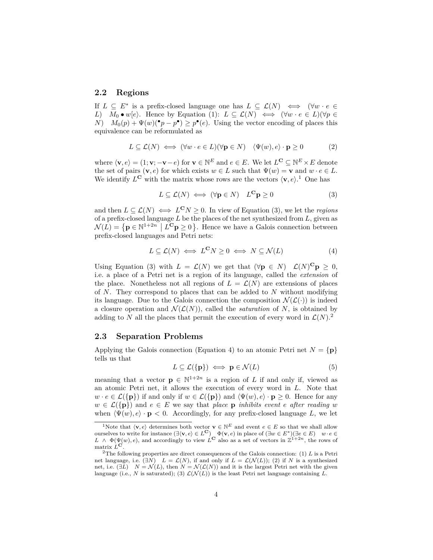### **2.2 Regions**

If  $L \subseteq E^*$  is a prefix-closed language one has  $L \subseteq \mathcal{L}(N) \iff (\forall w \cdot e \in$ *L*)  $M_0 \bullet w(e)$ . Hence by Equation (1):  $L \subseteq \mathcal{L}(N) \iff (\forall w \cdot e \in L)(\forall p \in \mathcal{L})$ *N*)  $M_0(p) + \Psi(w)(\bullet p - p\bullet) \geq p\bullet(e)$ . Using the vector encoding of places this equivalence can be reformulated as

$$
L \subseteq \mathcal{L}(N) \iff (\forall w \cdot e \in L)(\forall \mathbf{p} \in N) \quad \langle \Psi(w), e \rangle \cdot \mathbf{p} \ge 0 \tag{2}
$$

where  $\langle \mathbf{v}, e \rangle = (1; \mathbf{v}; -\mathbf{v} - e)$  for  $\mathbf{v} \in \mathbb{N}^E$  and  $e \in E$ . We let  $L^{\mathbf{C}} \subseteq \mathbb{N}^E \times E$  denote the set of pairs  $(\mathbf{v}, e)$  for which exists  $w \in L$  such that  $\Psi(w) = \mathbf{v}$  and  $w \cdot e \in L$ . We identify  $L^{\mathbf{C}}$  with the matrix whose rows are the vectors  $\langle \mathbf{v}, e \rangle$ .<sup>1</sup> One has

$$
L \subseteq \mathcal{L}(N) \iff (\forall \mathbf{p} \in N) \quad L^{\mathbf{C}} \mathbf{p} \ge 0 \tag{3}
$$

and then  $L \subseteq \mathcal{L}(N) \iff L^{\mathbf{C}}N \geq 0$ . In view of Equation (3), we let the *regions* of a prefix-closed language *L* be the places of the net synthesized from *L*, given as  $\mathcal{N}(L) = \{ \mathbf{p} \in \mathbb{N}^{1+2n} \mid L^{\mathbf{C}} \mathbf{p} \ge 0 \}.$  Hence we have a Galois connection between prefix-closed languages and Petri nets:

$$
L \subseteq \mathcal{L}(N) \iff L^{\mathbf{C}}N \ge 0 \iff N \subseteq \mathcal{N}(L) \tag{4}
$$

Using Equation (3) with  $L = \mathcal{L}(N)$  we get that  $(\forall \mathbf{p} \in N)$   $\mathcal{L}(N)^{\mathbf{C}} \mathbf{p} \geq 0$ , i.e. a place of a Petri net is a region of its language, called the *extension* of the place. Nonetheless not all regions of  $L = \mathcal{L}(N)$  are extensions of places of *N*. They correspond to places that can be added to *N* without modifying its language. Due to the Galois connection the composition  $\mathcal{N}(\mathcal{L}(\cdot))$  is indeed a closure operation and  $\mathcal{N}(\mathcal{L}(N))$ , called the *saturation* of N, is obtained by adding to  $N$  all the places that permit the execution of every word in  $\mathcal{L}(N)$ .<sup>2</sup>

### **2.3 Separation Problems**

Applying the Galois connection (Equation 4) to an atomic Petri net  $N = \{p\}$ tells us that

$$
L \subseteq \mathcal{L}(\{\mathbf{p}\}) \iff \mathbf{p} \in \mathcal{N}(L) \tag{5}
$$

meaning that a vector  $p \in \mathbb{N}^{1+2n}$  is a region of *L* if and only if, viewed as an atomic Petri net, it allows the execution of every word in *L*. Note that  $w \cdot e \in \mathcal{L}({\bf{p}})$  if and only if  $w \in \mathcal{L}({\bf{p}})$  and  $\langle \Psi(w), e \rangle \cdot {\bf{p}} \geq 0$ . Hence for any  $w \in \mathcal{L}({\{\mathbf{p}\}})$  and  $e \in E$  we say that *place* **p** *inhibits event e after reading w* when  $\langle \Psi(w), e \rangle \cdot \mathbf{p} < 0$ . Accordingly, for any prefix-closed language *L*, we let

<sup>&</sup>lt;sup>1</sup>Note that  $\langle v, e \rangle$  determines both vector  $v \in \mathbb{N}^E$  and event  $e \in E$  so that we shall allow ourselves to write for instance  $(\exists \langle \mathbf{v}, e \rangle \in L^{\mathbf{C}})$   $\Phi(\mathbf{v}, e)$  in place of  $(\exists w \in E^*) (\exists e \in E)$   $w \cdot e \in E$  $L \wedge \Phi(\Psi(w), e)$ , and accordingly to view  $L^{\mathbf{C}}$  also as a set of vectors in  $\mathbb{Z}^{1+2n}$ , the rows of matrix *L***C**.

<sup>2</sup>The following properties are direct consequences of the Galois connection: (1) *L* is a Petri net language, i.e.  $(\exists N)$   $L = \mathcal{L}(N)$ , if and only if  $L = \mathcal{L}(\mathcal{N}(L))$ ; (2) if *N* is a synthesized net, i.e.  $(\exists L)$  *N* =  $\mathcal{N}(L)$ , then  $N = \mathcal{N}(\mathcal{L}(N))$  and it is the largest Petri net with the given language (i.e., *N* is saturated); (3)  $\mathcal{L}(\mathcal{N}(L))$  is the least Petri net language containing *L*.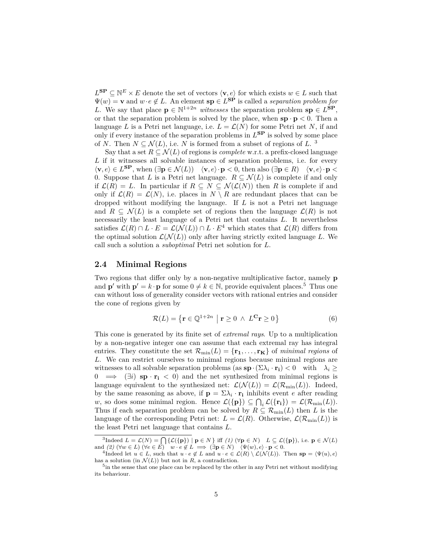$L^{\text{SP}} \subseteq \mathbb{N}^E \times E$  denote the set of vectors  $\langle \mathbf{v}, e \rangle$  for which exists  $w \in L$  such that  $\Psi(w) = \mathbf{v}$  and  $w \cdot e \notin L$ . An element  $\mathbf{sp} \in L^{\text{SP}}$  is called a *separation problem for L*. We say that place  $p \in \mathbb{N}^{1+2n}$  *witnesses* the separation problem  $sp \in L^{\text{SP}},$ or that the separation problem is solved by the place, when  $\mathbf{sp} \cdot \mathbf{p} < 0$ . Then a language *L* is a Petri net language, i.e.  $L = \mathcal{L}(N)$  for some Petri net *N*, if and only if every instance of the separation problems in *L* **SP** is solved by some place of *N*. Then  $N \subseteq \mathcal{N}(L)$ , i.e. *N* is formed from a subset of regions of *L*. <sup>3</sup>

Say that a set  $R \subseteq \mathcal{N}(L)$  of regions is *complete* w.r.t. a prefix-closed language *L* if it witnesses all solvable instances of separation problems, i.e. for every  $\langle \mathbf{v}, e \rangle \in L^{\mathbf{SP}}, \text{ when } (\exists \mathbf{p} \in \mathcal{N}(L)) \quad \langle \mathbf{v}, e \rangle \cdot \mathbf{p} < 0, \text{ then also } (\exists \mathbf{p} \in R) \quad \langle \mathbf{v}, e \rangle \cdot \mathbf{p} < 0$ 0. Suppose that *L* is a Petri net language.  $R \subseteq \mathcal{N}(L)$  is complete if and only if  $\mathcal{L}(R) = L$ . In particular if  $R \subseteq N \subseteq \mathcal{N}(\mathcal{L}(N))$  then R is complete if and only if  $\mathcal{L}(R) = \mathcal{L}(N)$ , i.e. places in  $N \setminus R$  are redundant places that can be dropped without modifying the language. If *L* is not a Petri net language and  $R \subseteq \mathcal{N}(L)$  is a complete set of regions then the language  $\mathcal{L}(R)$  is not necessarily the least language of a Petri net that contains *L*. It nevertheless satisfies  $\mathcal{L}(R) \cap L \cdot E = \mathcal{L}(\mathcal{N}(L)) \cap L \cdot E^4$  which states that  $\mathcal{L}(R)$  differs from the optimal solution  $\mathcal{L}(\mathcal{N}(L))$  only after having strictly exited language L. We call such a solution a *suboptimal* Petri net solution for *L*.

### **2.4 Minimal Regions**

Two regions that differ only by a non-negative multiplicative factor, namely **p** and **p**' with  $\mathbf{p}' = k \cdot \mathbf{p}$  for some  $0 \neq k \in \mathbb{N}$ , provide equivalent places.<sup>5</sup> Thus one can without loss of generality consider vectors with rational entries and consider the cone of regions given by

$$
\mathcal{R}(L) = \left\{ \mathbf{r} \in \mathbb{Q}^{1+2n} \mid \mathbf{r} \ge 0 \ \land \ L^{\mathbf{C}} \mathbf{r} \ge 0 \right\} \tag{6}
$$

This cone is generated by its finite set of *extremal rays*. Up to a multiplication by a non-negative integer one can assume that each extremal ray has integral entries. They constitute the set  $\mathcal{R}_{\min}(L) = {\mathbf{r}_1, \dots, \mathbf{r}_K}$  of *minimal regions* of *L*. We can restrict ourselves to minimal regions because minimal regions are witnesses to all solvable separation problems (as  $\mathbf{sp} \cdot (\Sigma \lambda_i \cdot \mathbf{r_i}) < 0$  with  $\lambda_i \geq$ 0  $\implies$  ( $\exists i$ ) **sp** · **r**<sub>i</sub>  $\lt$  0) and the net synthesized from minimal regions is language equivalent to the synthesized net:  $\mathcal{L}(\mathcal{N}(L)) = \mathcal{L}(\mathcal{R}_{\min}(L))$ . Indeed, by the same reasoning as above, if  $\mathbf{p} = \sum \lambda_i \cdot \mathbf{r_i}$  inhibits event *e* after reading *w*, so does some minimal region. Hence  $\mathcal{L}(\{\mathbf{p}\}) \subseteq \bigcap_i \mathcal{L}(\{\mathbf{r_i}\}) = \mathcal{L}(\mathcal{R}_{\min}(L)).$ Thus if each separation problem can be solved by  $R \subseteq \mathcal{R}_{min}(L)$  then *L* is the language of the corresponding Petri net:  $L = \mathcal{L}(R)$ . Otherwise,  $\mathcal{L}(\mathcal{R}_{min}(L))$  is the least Petri net language that contains *L*.

<sup>&</sup>lt;sup>3</sup>Indeed *L* =  $\mathcal{L}(N)$  =  $\bigcap$  { $\mathcal{L}(\{p\})$  | **p** ∈ *N* } iff *(1)* (∀**p** ∈ *N*) *L* ⊆  $\mathcal{L}(\{p\})$ , i.e. **p** ∈  $\mathcal{N}(L)$ and  $(2)$   $(\forall w \in L)$   $(\forall e \in E)$   $w \cdot e \notin L \implies (\exists \mathbf{p} \in N)$   $\langle \Psi(w), e \rangle \cdot \mathbf{p} < 0.$ 

<sup>&</sup>lt;sup>4</sup>Indeed let  $u \in L$ , such that  $u \cdot e \notin L$  and  $u \cdot e \in \mathcal{L}(R) \setminus \mathcal{L}(\mathcal{N}(L))$ . Then  $sp = \langle \Psi(u), e \rangle$ has a solution (in  $\mathcal{N}(L)$ ) but not in *R*, a contradiction.

<sup>&</sup>lt;sup>5</sup> in the sense that one place can be replaced by the other in any Petri net without modifying its behaviour.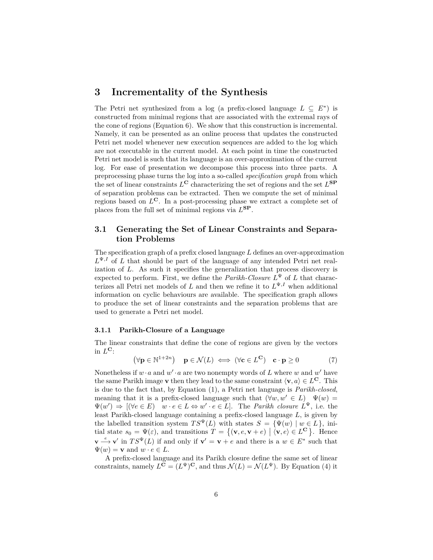## **3 Incrementality of the Synthesis**

The Petri net synthesized from a log (a prefix-closed language  $L \subseteq E^*$ ) is constructed from minimal regions that are associated with the extremal rays of the cone of regions (Equation 6). We show that this construction is incremental. Namely, it can be presented as an online process that updates the constructed Petri net model whenever new execution sequences are added to the log which are not executable in the current model. At each point in time the constructed Petri net model is such that its language is an over-approximation of the current log. For ease of presentation we decompose this process into three parts. A preprocessing phase turns the log into a so-called *specification graph* from which the set of linear constraints  $L^{\mathbf{C}}$  characterizing the set of regions and the set  $L^{\mathbf{SP}}$ of separation problems can be extracted. Then we compute the set of minimal regions based on *L* **<sup>C</sup>**. In a post-processing phase we extract a complete set of places from the full set of minimal regions via *L* **SP**.

## **3.1 Generating the Set of Linear Constraints and Separation Problems**

The specification graph of a prefix closed language *L* defines an over-approximation  $L^{\Psi,I}$  of *L* that should be part of the language of any intended Petri net realization of *L*. As such it specifies the generalization that process discovery is expected to perform. First, we define the *Parikh-Closure*  $L^{\Psi}$  of *L* that characterizes all Petri net models of *L* and then we refine it to *L* <sup>Ψ</sup>*,I* when additional information on cyclic behaviours are available. The specification graph allows to produce the set of linear constraints and the separation problems that are used to generate a Petri net model.

#### **3.1.1 Parikh-Closure of a Language**

The linear constraints that define the cone of regions are given by the vectors in  $L^{\mathbf{C}}$ :

$$
(\forall \mathbf{p} \in \mathbb{N}^{1+2n}) \quad \mathbf{p} \in \mathcal{N}(L) \iff (\forall \mathbf{c} \in L^{\mathbf{C}}) \quad \mathbf{c} \cdot \mathbf{p} \ge 0 \tag{7}
$$

Nonetheless if  $w \cdot a$  and  $w' \cdot a$  are two nonempty words of *L* where  $w$  and  $w'$  have the same Parikh image **v** then they lead to the same constraint  $\langle \mathbf{v}, a \rangle \in L^{\mathbf{C}}$ . This is due to the fact that, by Equation (1), a Petri net language is *Parikh-closed*, meaning that it is a prefix-closed language such that  $(\forall w, w' \in L) \quad \Psi(w) =$  $\Psi(w') \Rightarrow [(\forall e \in E) \quad w \cdot e \in L \Leftrightarrow w' \cdot e \in L].$  The *Parikh closure*  $L^{\Psi}$ , i.e. the least Parikh-closed language containing a prefix-closed language *L*, is given by the labelled transition system  $TS^{\Psi}(L)$  with states  $S = {\Psi(w) | w \in L}$ , initial state  $s_0 = \Psi(\varepsilon)$ , and transitions  $T = \{ (\mathbf{v}, e, \mathbf{v} + e) \mid \langle \mathbf{v}, e \rangle \in L^{\mathbf{C}} \}.$  Hence  $\mathbf{v} \xrightarrow{e} \mathbf{v}'$  in  $TS^{\Psi}(L)$  if and only if  $\mathbf{v}' = \mathbf{v} + e$  and there is a  $w \in E^*$  such that  $\Psi(w) = \mathbf{v}$  and  $w \cdot e \in L$ .

A prefix-closed language and its Parikh closure define the same set of linear constraints, namely  $L^{\mathbf{C}} = (L^{\Psi})^{\mathbf{C}}$ , and thus  $\mathcal{N}(L) = \mathcal{N}(L^{\Psi})$ . By Equation (4) it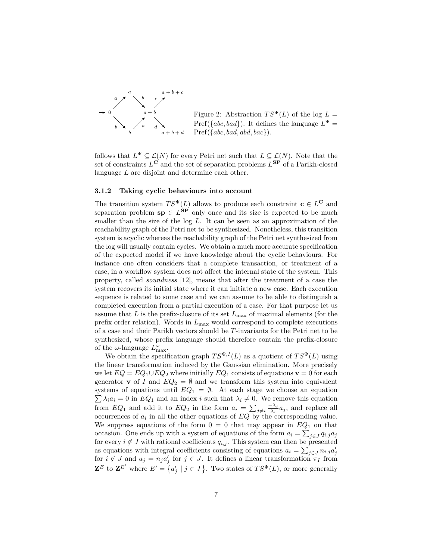

Figure 2: Abstraction  $TS^{\Psi}(L)$  of the log  $L =$  $\text{Pref}(\{abc, bad\})$ . It defines the language  $L^{\Psi} =$ Pref({*abc, bad, abd, bac*}).

follows that  $L^{\Psi} \subseteq \mathcal{L}(N)$  for every Petri net such that  $L \subseteq \mathcal{L}(N)$ . Note that the set of constraints *L* **<sup>C</sup>** and the set of separation problems *L* **SP** of a Parikh-closed language *L* are disjoint and determine each other.

#### **3.1.2 Taking cyclic behaviours into account**

The transition system  $TS^{\Psi}(L)$  allows to produce each constraint  $\mathbf{c} \in L^{\mathbf{C}}$  and separation problem  $sp \in L^{SP}$  only once and its size is expected to be much smaller than the size of the log *L*. It can be seen as an approximation of the reachability graph of the Petri net to be synthesized. Nonetheless, this transition system is acyclic whereas the reachability graph of the Petri net synthesized from the log will usually contain cycles. We obtain a much more accurate specification of the expected model if we have knowledge about the cyclic behaviours. For instance one often considers that a complete transaction, or treatment of a case, in a workflow system does not affect the internal state of the system. This property, called *soundness* [12], means that after the treatment of a case the system recovers its initial state where it can initiate a new case. Each execution sequence is related to some case and we can assume to be able to distinguish a completed execution from a partial execution of a case. For that purpose let us assume that  $L$  is the prefix-closure of its set  $L_{\text{max}}$  of maximal elements (for the prefix order relation). Words in *L*max would correspond to complete executions of a case and their Parikh vectors should be *T*-invariants for the Petri net to be synthesized, whose prefix language should therefore contain the prefix-closure of the  $\omega$ -language  $L_{\text{max}}^{\omega}$ .

We obtain the specification graph  $TS^{\Psi,I}(L)$  as a quotient of  $TS^{\Psi}(L)$  using the linear transformation induced by the Gaussian elimination. More precisely we let  $EQ = EQ_1 \cup EQ_2$  where initially  $EQ_1$  consists of equations **v** = 0 for each generator **v** of *I* and  $EQ_2 = \emptyset$  and we transform this system into equivalent  $\sum \lambda_i a_i = 0$  in  $EQ_1$  and an index *i* such that  $\lambda_i \neq 0$ . We remove this equation systems of equations until  $EQ_1 = \emptyset$ . At each stage we choose an equation from  $EQ_1$  and add it to  $EQ_2$  in the form  $a_i = \sum_{j \neq i} \frac{-\lambda_j}{\lambda_i}$  $\frac{\partial^2 A_j}{\partial x_i} a_j$ , and replace all occurrences of  $a_i$  in all the other equations of  $EQ$  by the corresponding value. We suppress equations of the form  $0 = 0$  that may appear in  $EQ<sub>1</sub>$  on that occasion. One ends up with a system of equations of the form  $a_i = \sum_{j \in J} q_{i,j} a_j$ for every  $i \notin J$  with rational coefficients  $q_{i,j}$ . This system can then be presented as equations with integral coefficients consisting of equations  $a_i = \sum_{j \in J} n_{i,j} a'_j$  for  $i \notin J$  and  $a_j = n_j a'_j$  for  $j \in J$ . It defines a linear transformation  $\pi_I$  from  $\mathbf{Z}^E$  to  $\mathbf{Z}^{E'}$  where  $E' = \{a'_j \mid j \in J\}$ . Two states of  $TS^{\Psi}(L)$ , or more generally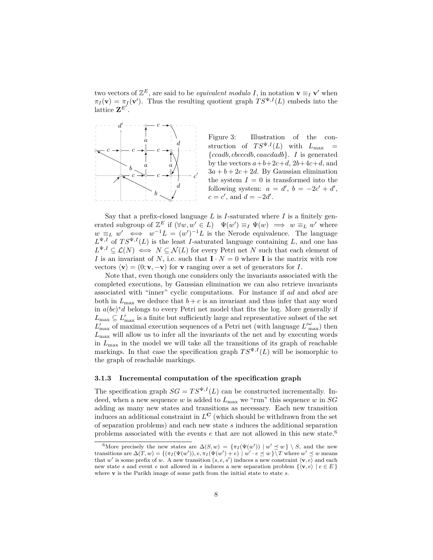two vectors of  $\mathbb{Z}^E$ , are said to be *equivalent modulo I*, in notation  $\mathbf{v} \equiv_I \mathbf{v}'$  when  $\pi_I(\mathbf{v}) = \pi_I(\mathbf{v}')$ . Thus the resulting quotient graph  $TS^{\Psi,I}(L)$  embeds into the lattice  $\mathbf{Z}^{E'}$ .



Figure 3: Illustration of the construction of  $TS^{\Psi,I}(L)$  with  $L_{\text{max}}$  = {*ccadb, cbcccdb, caacdadb*}. *I* is generated by the vectors  $a+b+2c+d$ ,  $2b+4c+d$ , and  $3a + b + 2c + 2d$ . By Gaussian elimination the system  $I = 0$  is transformed into the following system:  $a = d'$ ,  $b = -2c' + d'$ ,  $c = c'$ , and  $d = -2d'$ .

Say that a prefix-closed language *L* is *I*-saturated where *I* is a finitely generated subgroup of  $\mathbb{Z}^E$  if  $(\forall w, w' \in L)$   $\Psi(w') \equiv_I \Psi(w) \implies w \equiv_L w'$  where  $w \equiv_L w' \iff w^{-1}L = (w')^{-1}L$  is the Nerode equivalence. The language  $L^{\Psi,I}$  of  $TS^{\Psi,I}(L)$  is the least *I*-saturated language containing *L*, and one has  $L^{\Psi,I} \subseteq \mathcal{L}(N) \iff N \subseteq \mathcal{N}(L)$  for every Petri net *N* such that each element of *I* is an invariant of *N*, i.e. such that  $I \cdot N = 0$  where *I* is the matrix with row vectors  $\langle \mathbf{v} \rangle = (0; \mathbf{v}, -\mathbf{v})$  for **v** ranging over a set of generators for *I*.

Note that, even though one considers only the invariants associated with the completed executions, by Gaussian elimination we can also retrieve invariants associated with "inner" cyclic computations. For instance if *ad* and *abcd* are both in  $L_{\text{max}}$  we deduce that  $b + c$  is an invariant and thus infer that any word in  $a(bc)^*d$  belongs to every Petri net model that fits the log. More generally if  $L_{\max} \subseteq L'_{\max}$  is a finite but sufficiently large and representative subset of the set  $L'_{\text{max}}$  of maximal execution sequences of a Petri net (with language  $L'^{\omega}_{\text{max}}$ ) then *L*max will allow us to infer all the invariants of the net and by executing words in  $L_{\text{max}}$  in the model we will take all the transitions of its graph of reachable markings. In that case the specification graph  $TS^{\Psi,I}(L)$  will be isomorphic to the graph of reachable markings.

#### **3.1.3 Incremental computation of the specification graph**

The specification graph  $SG = TS^{\Psi, I}(L)$  can be constructed incrementally. Indeed, when a new sequence *w* is added to *L*max we "run" this sequence *w* in *SG* adding as many new states and transitions as necessary. Each new transition induces an additional constraint in  $L^{\mathbf{C}}$  (which should be withdrawn from the set of separation problems) and each new state *s* induces the additional separation problems associated with the events *e* that are not allowed in this new state.<sup>6</sup>

<sup>&</sup>lt;sup>6</sup>More precisely the new states are  $\Delta(S, w) = {\pi_I(\Psi(w')) | w' \leq w} \setminus S$ , and the new transitions are  $\Delta(T, w) = \{(\pi_I(\Psi(w')), e, \pi_I(\Psi(w')+e) \mid w' \cdot e \leq w\}) \mid T \text{ where } w' \leq w \text{ means } w' \leq w\}$ that w' is some prefix of w. A new transition  $(s, e, s')$  induces a new constraint  $\langle v, e \rangle$  and each new state *s* and event *e* not allowed in *s* induces a new separation problem  $\{(\mathbf{v}, e) | e \in E\}$ where **v** is the Parikh image of some path from the initial state to state *s*.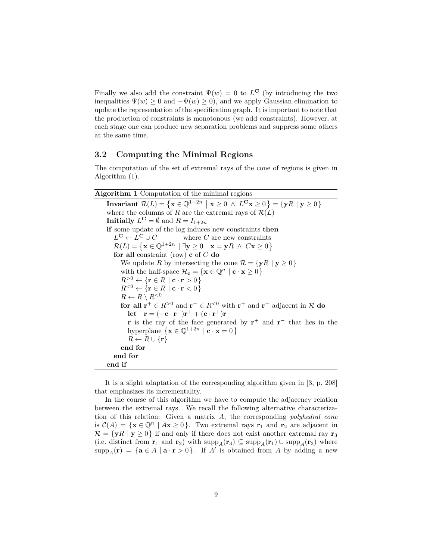Finally we also add the constraint  $\Psi(w) = 0$  to  $L^{\mathbb{C}}$  (by introducing the two inequalities  $\Psi(w) \geq 0$  and  $-\Psi(w) \geq 0$ , and we apply Gaussian elimination to update the representation of the specification graph. It is important to note that the production of constraints is monotonous (we add constraints). However, at each stage one can produce new separation problems and suppress some others at the same time.

### **3.2 Computing the Minimal Regions**

The computation of the set of extremal rays of the cone of regions is given in Algorithm (1).

| <b>Algorithm 1</b> Computation of the minimal regions                                                                                                                        |
|------------------------------------------------------------------------------------------------------------------------------------------------------------------------------|
| Invariant $\mathcal{R}(L) = \{ \mathbf{x} \in \mathbb{Q}^{1+2n} \mid \mathbf{x} \geq 0 \land L^{\mathbf{C}} \mathbf{x} \geq 0 \} = \{ \mathbf{y}R \mid \mathbf{y} \geq 0 \}$ |
| where the columns of R are the extremal rays of $\mathcal{R}(L)$                                                                                                             |
| <b>Initially</b> $L^{\mathbf{C}} = \emptyset$ and $R = I_{1+2n}$                                                                                                             |
| <b>if</b> some update of the log induces new constraints then                                                                                                                |
| $L^{\mathbf{C}} \leftarrow L^{\mathbf{C}} \cup C$ where C are new constraints                                                                                                |
| $\mathcal{R}(L) = \{ \mathbf{x} \in \mathbb{Q}^{1+2n} \mid \exists \mathbf{y} \geq 0 \mid \mathbf{x} = \mathbf{y}R \land C\mathbf{x} \geq 0 \}$                              |
| for all constraint (row) $\mathbf c$ of $C$ do                                                                                                                               |
| We update R by intersecting the cone $\mathcal{R} = \{yR \mid y \ge 0\}$                                                                                                     |
| with the half-space $\mathcal{H}_{\mathbf{c}} = {\mathbf{x} \in \mathbb{Q}^n \mid \mathbf{c} \cdot \mathbf{x} \geq 0}$                                                       |
| $R^{>0} \leftarrow {\mathbf{r} \in R \mid \mathbf{c} \cdot \mathbf{r} > 0}$                                                                                                  |
| $R^{<0} \leftarrow {\mathbf{r} \in R \mid \mathbf{c} \cdot \mathbf{r} < 0}$                                                                                                  |
| $R \leftarrow R \setminus R^{\leq 0}$                                                                                                                                        |
| for all $r^+ \in R^{>0}$ and $r^- \in R^{<0}$ with $r^+$ and $r^-$ adjacent in R do                                                                                          |
| let $\mathbf{r} = (-\mathbf{c} \cdot \mathbf{r}^-)\mathbf{r}^+ + (\mathbf{c} \cdot \mathbf{r}^+) \mathbf{r}^-$                                                               |
| <b>r</b> is the ray of the face generated by $r^+$ and $r^-$ that lies in the                                                                                                |
| hyperplane $\{ \mathbf{x} \in \mathbb{Q}^{1+2n} \mid \mathbf{c} \cdot \mathbf{x} = 0 \}$                                                                                     |
| $R \leftarrow R \cup \{r\}$                                                                                                                                                  |
| end for                                                                                                                                                                      |
| end for                                                                                                                                                                      |
| end if                                                                                                                                                                       |
|                                                                                                                                                                              |

It is a slight adaptation of the corresponding algorithm given in [3, p. 208] that emphasizes its incrementality.

In the course of this algorithm we have to compute the adjacency relation between the extremal rays. We recall the following alternative characterization of this relation: Given a matrix *A*, the corresponding *polyhedral cone* is  $C(A) = \{ \mathbf{x} \in \mathbb{Q}^n \mid A\mathbf{x} \ge 0 \}$ . Two extremal rays  $\mathbf{r}_1$  and  $\mathbf{r}_2$  are adjacent in  $\mathcal{R} = \{yR \mid y \ge 0\}$  if and only if there does not exist another extremal ray  $\mathbf{r}_3$ (i.e. distinct from  $\mathbf{r}_1$  and  $\mathbf{r}_2$ ) with supp<sub>*A*</sub>( $\mathbf{r}_3$ ) ⊆ supp<sub>*A*</sub>( $\mathbf{r}_1$ ) ∪ supp<sub>*A*</sub>( $\mathbf{r}_2$ ) where  $\text{supp}_A(\mathbf{r}) = {\mathbf{a} \in A \mid \mathbf{a} \cdot \mathbf{r} > 0}.$  If *A'* is obtained from *A* by adding a new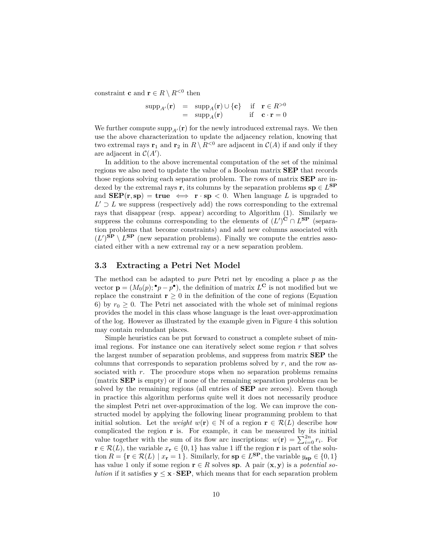constraint **c** and **r**  $\in$  *R* \ *R*<sup><0</sup> then

$$
supp_{A'}(\mathbf{r}) = supp_A(\mathbf{r}) \cup \{c\} \text{ if } \mathbf{r} \in R^{>0}
$$
  
= supp<sub>A</sub>(\mathbf{r}) \text{ if } \mathbf{c} \cdot \mathbf{r} = 0

We further compute supp<sub> $A$ <sup> $\ell$ </sup>(**r**) for the newly introduced extremal rays. We then</sub> use the above characterization to update the adjacency relation, knowing that two extremal rays  $\mathbf{r}_1$  and  $\mathbf{r}_2$  in  $R \setminus R^{<0}$  are adjacent in  $C(A)$  if and only if they are adjacent in  $C(A')$ .

In addition to the above incremental computation of the set of the minimal regions we also need to update the value of a Boolean matrix **SEP** that records those regions solving each separation problem. The rows of matrix **SEP** are indexed by the extremal rays **r**, its columns by the separation problems  $sp \in L^{SP}$ and  $\mathbf{SEP}(\mathbf{r},\mathbf{sp}) = \mathbf{true} \iff \mathbf{r} \cdot \mathbf{sp} < 0$ . When language L is upgraded to  $L' \supset L$  we suppress (respectively add) the rows corresponding to the extremal rays that disappear (resp. appear) according to Algorithm (1). Similarly we suppress the columns corresponding to the elements of  $(L')^{\mathbf{C}} \cap L^{\mathbf{SP}}$  (separation problems that become constraints) and add new columns associated with  $(L')^{\text{SP}} \setminus L^{\text{SP}}$  (new separation problems). Finally we compute the entries associated either with a new extremal ray or a new separation problem.

#### **3.3 Extracting a Petri Net Model**

The method can be adapted to *pure* Petri net by encoding a place *p* as the vector  $\mathbf{p} = (M_0(p); \mathbf{P} - p^{\bullet})$ , the definition of matrix  $L^{\mathbf{C}}$  is not modified but we replace the constraint  $\mathbf{r} \geq 0$  in the definition of the cone of regions (Equation 6) by  $r_0 \geq 0$ . The Petri net associated with the whole set of minimal regions provides the model in this class whose language is the least over-approximation of the log. However as illustrated by the example given in Figure 4 this solution may contain redundant places.

Simple heuristics can be put forward to construct a complete subset of minimal regions. For instance one can iteratively select some region *r* that solves the largest number of separation problems, and suppress from matrix **SEP** the columns that corresponds to separation problems solved by  $r$ , and the row associated with *r*. The procedure stops when no separation problems remains (matrix **SEP** is empty) or if none of the remaining separation problems can be solved by the remaining regions (all entries of **SEP** are zeroes). Even though in practice this algorithm performs quite well it does not necessarily produce the simplest Petri net over-approximation of the log. We can improve the constructed model by applying the following linear programming problem to that initial solution. Let the *weight*  $w(\mathbf{r}) \in \mathbb{N}$  of a region  $\mathbf{r} \in \mathcal{R}(L)$  describe how complicated the region **r** is. For example, it can be measured by its initial value together with the sum of its flow arc inscriptions:  $w(\mathbf{r}) = \sum_{i=0}^{2n} r_i$ . For **r** ∈ R(*L*), the variable  $x$ **r** ∈ {0, 1} has value 1 iff the region **r** is part of the solution  $R = \{ \mathbf{r} \in \mathcal{R}(L) \mid x_{\mathbf{r}} = 1 \}.$  Similarly, for  $\mathbf{sp} \in L^{\mathbf{SP}}$ , the variable  $y_{\mathbf{sp}} \in \{0, 1\}$ has value 1 only if some region  $\mathbf{r} \in R$  solves sp. A pair  $(\mathbf{x}, \mathbf{y})$  is a *potential solution* if it satisfies  $y \leq x \cdot$  **SEP**, which means that for each separation problem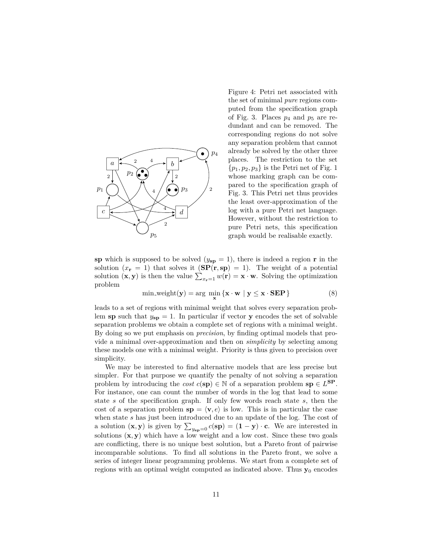

Figure 4: Petri net associated with the set of minimal *pure* regions computed from the specification graph of Fig. 3. Places  $p_4$  and  $p_5$  are redundant and can be removed. The corresponding regions do not solve any separation problem that cannot already be solved by the other three places. The restriction to the set  $\{p_1, p_2, p_3\}$  is the Petri net of Fig. 1 whose marking graph can be compared to the specification graph of Fig. 3. This Petri net thus provides the least over-approximation of the log with a pure Petri net language. However, without the restriction to pure Petri nets, this specification graph would be realisable exactly.

**sp** which is supposed to be solved  $(y_{\text{sp}} = 1)$ , there is indeed a region **r** in the solution  $(x_{\bf r} = 1)$  that solves it  $({\bf SP}({\bf r},{\bf sp}) = 1)$ . The weight of a potential solution  $(\mathbf{x}, \mathbf{y})$  is then the value  $\sum_{x_{\mathbf{r}}=1} w(\mathbf{r}) = \mathbf{x} \cdot \mathbf{w}$ . Solving the optimization problem

 $\min\{\text{weight}(\mathbf{y}) = \arg\min_{\mathbf{x}} \{\mathbf{x} \cdot \mathbf{w} \mid \mathbf{y} \leq \mathbf{x} \cdot \mathbf{SEP}\}\$  (8)

leads to a set of regions with minimal weight that solves every separation problem **sp** such that  $y_{\rm sp} = 1$ . In particular if vector **y** encodes the set of solvable separation problems we obtain a complete set of regions with a minimal weight. By doing so we put emphasis on *precision*, by finding optimal models that provide a minimal over-approximation and then on *simplicity* by selecting among these models one with a minimal weight. Priority is thus given to precision over simplicity.

We may be interested to find alternative models that are less precise but simpler. For that purpose we quantify the penalty of not solving a separation problem by introducing the *cost*  $c(\mathbf{sp}) \in \mathbb{N}$  of a separation problem  $\mathbf{sp} \in L^{\mathbf{SP}}$ . For instance, one can count the number of words in the log that lead to some state *s* of the specification graph. If only few words reach state *s*, then the cost of a separation problem  $s\mathbf{p} = \langle \mathbf{v}, e \rangle$  is low. This is in particular the case when state *s* has just been introduced due to an update of the log. The cost of a solution  $(\mathbf{x}, \mathbf{y})$  is given by  $\sum_{y_{\text{sp}}=0} c(\text{sp}) = (\mathbf{1} - \mathbf{y}) \cdot \mathbf{c}$ . We are interested in solutions  $(x, y)$  which have a low weight and a low cost. Since these two goals are conflicting, there is no unique best solution, but a Pareto front of pairwise incomparable solutions. To find all solutions in the Pareto front, we solve a series of integer linear programming problems. We start from a complete set of regions with an optimal weight computed as indicated above. Thus  $y_0$  encodes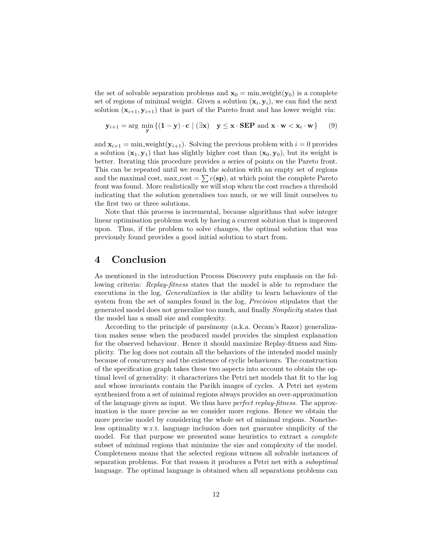the set of solvable separation problems and  $\mathbf{x}_0 = \min$  weight $(\mathbf{y}_0)$  is a complete set of regions of minimal weight. Given a solution  $(\mathbf{x}_i, \mathbf{y}_i)$ , we can find the next solution  $(\mathbf{x}_{i+1}, \mathbf{y}_{i+1})$  that is part of the Pareto front and has lower weight via:

$$
\mathbf{y}_{i+1} = \arg \min_{\mathbf{y}} \left\{ (\mathbf{1} - \mathbf{y}) \cdot \mathbf{c} \mid (\exists \mathbf{x}) \quad \mathbf{y} \le \mathbf{x} \cdot \mathbf{SEP} \text{ and } \mathbf{x} \cdot \mathbf{w} < \mathbf{x}_i \cdot \mathbf{w} \right\} \tag{9}
$$

and  $\mathbf{x}_{i+1} = \min$ -weight $(\mathbf{y}_{i+1})$ . Solving the previous problem with  $i = 0$  provides a solution  $(\mathbf{x}_1, \mathbf{y}_1)$  that has slightly higher cost than  $(\mathbf{x}_0, \mathbf{y}_0)$ , but its weight is better. Iterating this procedure provides a series of points on the Pareto front. This can be repeated until we reach the solution with an empty set of regions and the maximal cost, max $\text{cost} = \sum c(\text{sp})$ , at which point the complete Pareto front was found. More realistically we will stop when the cost reaches a threshold indicating that the solution generalises too much, or we will limit ourselves to the first two or three solutions.

Note that this process is incremental, because algorithms that solve integer linear optimisation problems work by having a current solution that is improved upon. Thus, if the problem to solve changes, the optimal solution that was previously found provides a good initial solution to start from.

## **4 Conclusion**

As mentioned in the introduction Process Discovery puts emphasis on the following criteria: *Replay-fitness* states that the model is able to reproduce the executions in the log, *Generalization* is the ability to learn behaviours of the system from the set of samples found in the log, *Precision* stipulates that the generated model does not generalize too much, and finally *Simplicity* states that the model has a small size and complexity.

According to the principle of parsimony (a.k.a. Occam's Razor) generalization makes sense when the produced model provides the simplest explanation for the observed behaviour. Hence it should maximize Replay-fitness and Simplicity. The log does not contain all the behaviors of the intended model mainly because of concurrency and the existence of cyclic behaviours. The construction of the specification graph takes these two aspects into account to obtain the optimal level of generality: it characterizes the Petri net models that fit to the log and whose invariants contain the Parikh images of cycles. A Petri net system synthesized from a set of minimal regions always provides an over-approximation of the language given as input. We thus have *perfect replay-fitness*. The approximation is the more precise as we consider more regions. Hence we obtain the more precise model by considering the whole set of minimal regions. Nonetheless optimality w.r.t. language inclusion does not guarantee simplicity of the model. For that purpose we presented some heuristics to extract a *complete* subset of minimal regions that minimize the size and complexity of the model. Completeness means that the selected regions witness all solvable instances of separation problems. For that reason it produces a Petri net with a *suboptimal* language. The optimal language is obtained when all separations problems can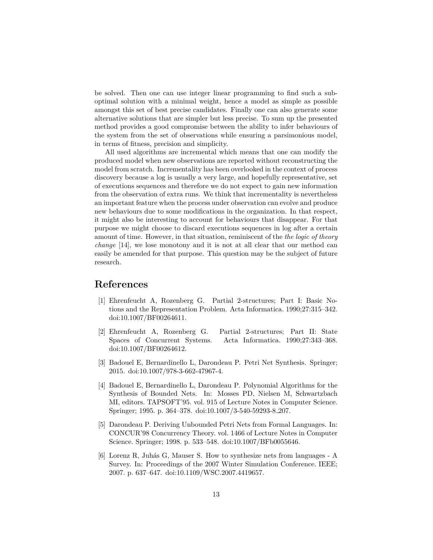be solved. Then one can use integer linear programming to find such a suboptimal solution with a minimal weight, hence a model as simple as possible amongst this set of best precise candidates. Finally one can also generate some alternative solutions that are simpler but less precise. To sum up the presented method provides a good compromise between the ability to infer behaviours of the system from the set of observations while ensuring a parsimonious model, in terms of fitness, precision and simplicity.

All used algorithms are incremental which means that one can modify the produced model when new observations are reported without reconstructing the model from scratch. Incrementality has been overlooked in the context of process discovery because a log is usually a very large, and hopefully representative, set of executions sequences and therefore we do not expect to gain new information from the observation of extra runs. We think that incrementality is nevertheless an important feature when the process under observation can evolve and produce new behaviours due to some modifications in the organization. In that respect, it might also be interesting to account for behaviours that disappear. For that purpose we might choose to discard executions sequences in log after a certain amount of time. However, in that situation, reminiscent of the *the logic of theory change* [14], we lose monotony and it is not at all clear that our method can easily be amended for that purpose. This question may be the subject of future research.

## **References**

- [1] Ehrenfeucht A, Rozenberg G. Partial 2-structures; Part I: Basic Notions and the Representation Problem. Acta Informatica. 1990;27:315–342. doi:10.1007/BF00264611.
- [2] Ehrenfeucht A, Rozenberg G. Partial 2-structures; Part II: State Spaces of Concurrent Systems. Acta Informatica. 1990;27:343–368. doi:10.1007/BF00264612.
- [3] Badouel E, Bernardinello L, Darondeau P. Petri Net Synthesis. Springer; 2015. doi:10.1007/978-3-662-47967-4.
- [4] Badouel E, Bernardinello L, Darondeau P. Polynomial Algorithms for the Synthesis of Bounded Nets. In: Mosses PD, Nielsen M, Schwartzbach MI, editors. TAPSOFT'95. vol. 915 of Lecture Notes in Computer Science. Springer; 1995. p. 364–378. doi:10.1007/3-540-59293-8 207.
- [5] Darondeau P. Deriving Unbounded Petri Nets from Formal Languages. In: CONCUR'98 Concurrency Theory. vol. 1466 of Lecture Notes in Computer Science. Springer; 1998. p. 533–548. doi:10.1007/BFb0055646.
- [6] Lorenz R, Juh´as G, Mauser S. How to synthesize nets from languages A Survey. In: Proceedings of the 2007 Winter Simulation Conference. IEEE; 2007. p. 637–647. doi:10.1109/WSC.2007.4419657.